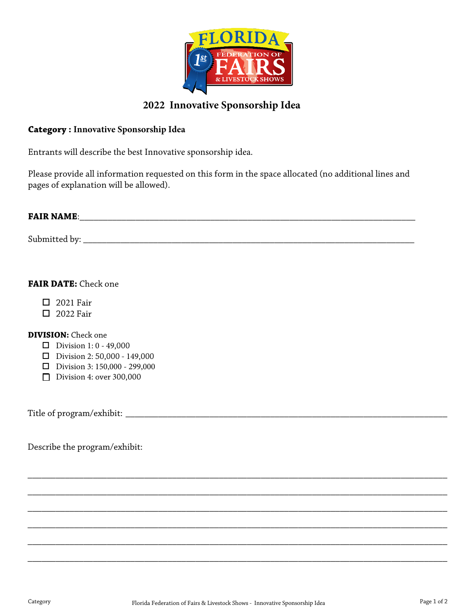

## **2022 Innovative Sponsorship Idea**

#### **Category : Innovative Sponsorship Idea**

Entrants will describe the best Innovative sponsorship idea.

Please provide all information requested on this form in the space allocated (no additional lines and pages of explanation will be allowed).

# **FAIR NAME**: \_\_\_\_\_\_\_\_\_\_\_\_\_\_\_\_\_\_\_\_\_\_\_\_\_\_\_\_\_\_\_\_\_\_\_\_\_\_\_\_\_\_\_\_\_\_\_\_\_\_\_\_\_\_\_\_\_\_\_\_\_\_\_\_\_\_\_\_\_\_\_\_

Submitted by: \_\_\_\_\_\_\_\_\_\_\_\_\_\_\_\_\_\_\_\_\_\_\_\_\_\_\_\_\_\_\_\_\_\_\_\_\_\_\_\_\_\_\_\_\_\_\_\_\_\_\_\_\_\_\_\_\_\_\_\_\_\_\_\_\_\_\_\_\_\_\_

### **FAIR DATE:** Check one

- □ 2021 Fair
- **D** 2022 Fair

#### **DIVISION:** Check one

- **D** Division 1:  $0 49,000$
- $\Box$  Division 2: 50,000 149,000
- $\Box$  Division 3: 150,000 299,000
- Division 4: over 300,000

Title of program/exhibit: \_\_\_\_\_\_\_\_\_\_\_\_\_\_\_\_\_\_\_\_\_\_\_\_\_\_\_\_\_\_\_\_\_\_\_\_\_\_\_\_\_\_\_\_\_\_\_\_\_\_\_\_\_\_\_\_\_\_\_\_\_\_\_\_\_\_\_\_\_

Describe the program/exhibit:

\_\_\_\_\_\_\_\_\_\_\_\_\_\_\_\_\_\_\_\_\_\_\_\_\_\_\_\_\_\_\_\_\_\_\_\_\_\_\_\_\_\_\_\_\_\_\_\_\_\_\_\_\_\_\_\_\_\_\_\_\_\_\_\_\_\_\_\_\_\_\_\_\_\_\_\_\_\_\_\_\_\_\_\_\_\_\_\_\_\_

\_\_\_\_\_\_\_\_\_\_\_\_\_\_\_\_\_\_\_\_\_\_\_\_\_\_\_\_\_\_\_\_\_\_\_\_\_\_\_\_\_\_\_\_\_\_\_\_\_\_\_\_\_\_\_\_\_\_\_\_\_\_\_\_\_\_\_\_\_\_\_\_\_\_\_\_\_\_\_\_\_\_\_\_\_\_\_\_\_\_

\_\_\_\_\_\_\_\_\_\_\_\_\_\_\_\_\_\_\_\_\_\_\_\_\_\_\_\_\_\_\_\_\_\_\_\_\_\_\_\_\_\_\_\_\_\_\_\_\_\_\_\_\_\_\_\_\_\_\_\_\_\_\_\_\_\_\_\_\_\_\_\_\_\_\_\_\_\_\_\_\_\_\_\_\_\_\_\_\_\_

\_\_\_\_\_\_\_\_\_\_\_\_\_\_\_\_\_\_\_\_\_\_\_\_\_\_\_\_\_\_\_\_\_\_\_\_\_\_\_\_\_\_\_\_\_\_\_\_\_\_\_\_\_\_\_\_\_\_\_\_\_\_\_\_\_\_\_\_\_\_\_\_\_\_\_\_\_\_\_\_\_\_\_\_\_\_\_\_\_\_

\_\_\_\_\_\_\_\_\_\_\_\_\_\_\_\_\_\_\_\_\_\_\_\_\_\_\_\_\_\_\_\_\_\_\_\_\_\_\_\_\_\_\_\_\_\_\_\_\_\_\_\_\_\_\_\_\_\_\_\_\_\_\_\_\_\_\_\_\_\_\_\_\_\_\_\_\_\_\_\_\_\_\_\_\_\_\_\_\_\_

\_\_\_\_\_\_\_\_\_\_\_\_\_\_\_\_\_\_\_\_\_\_\_\_\_\_\_\_\_\_\_\_\_\_\_\_\_\_\_\_\_\_\_\_\_\_\_\_\_\_\_\_\_\_\_\_\_\_\_\_\_\_\_\_\_\_\_\_\_\_\_\_\_\_\_\_\_\_\_\_\_\_\_\_\_\_\_\_\_\_